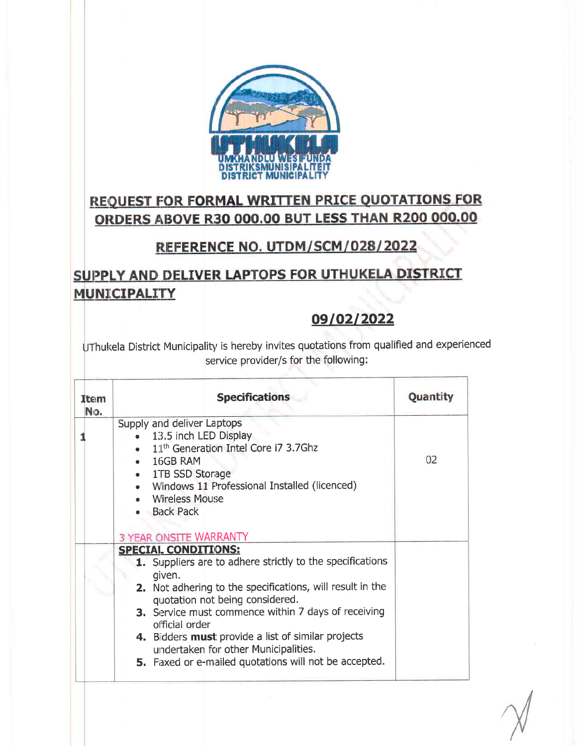

# **REQUEST FOR FORMAL WRITTEN PRICE QUOTATIONS FOR** ORDERS ABOVE R30 000.00 BUT LESS THAN R200 000.00

#### REFERENCE NO. UTDM/SCM/028/2022

## SUPPLY AND DELIVER LAPTOPS FOR UTHUKELA DISTRICT **MUNICIPALITY**

#### 09/02/2022

UThukela District Municipality is hereby invites quotations from qualified and experienced service provider/s for the following:

| Item<br>No. | <b>Specifications</b>                                                                        | Quantity |
|-------------|----------------------------------------------------------------------------------------------|----------|
|             | Supply and deliver Laptops                                                                   |          |
|             | 13.5 inch LED Display<br>• 11 <sup>th</sup> Generation Intel Core i7 3.7Ghz                  |          |
|             | $-16GB$ RAM                                                                                  | 02       |
|             | • 1TB SSD Storage                                                                            |          |
|             | • Windows 11 Professional Installed (licenced)                                               |          |
|             | • Wireless Mouse                                                                             |          |
|             | · Back Pack                                                                                  |          |
|             |                                                                                              |          |
|             |                                                                                              |          |
|             | <b>3 YEAR ONSITE WARRANTY</b><br><b>SPECIAL CONDITIONS:</b>                                  |          |
|             | 1. Suppliers are to adhere strictly to the specifications                                    |          |
|             | given.                                                                                       |          |
|             | 2. Not adhering to the specifications, will result in the<br>quotation not being considered. |          |
|             | 3. Service must commence within 7 days of receiving<br>official order                        |          |
|             | 4. Bidders must provide a list of similar projects<br>undertaken for other Municipalities.   |          |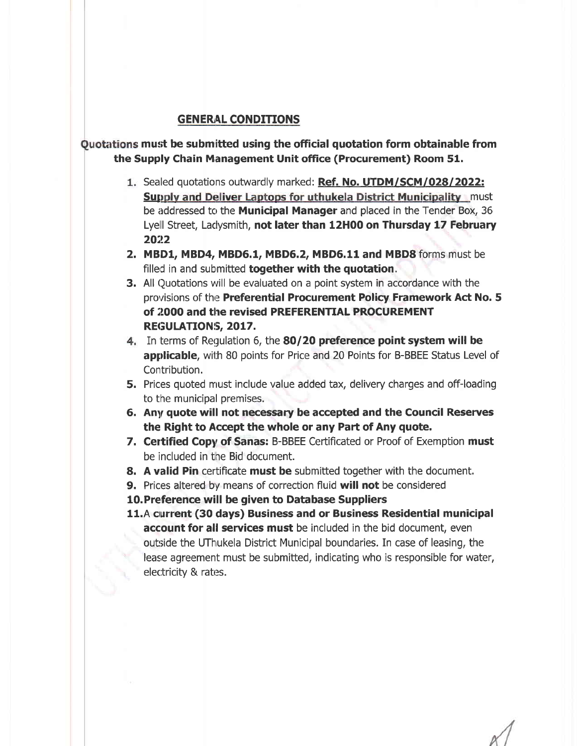#### **GENERAL CONDITIONS**

#### Quotations must be submitted using the official quotation form obtainable from the Supply Chain Management Unit office (Procurement) Room 51.

- 1. Sealed quotations outwardly marked: Ref. No. UTDM/SCM/028/2022: **Supply and Deliver Laptops for uthukela District Municipality must** be addressed to the **Municipal Manager** and placed in the Tender Box, 36 Lyell Street, Ladysmith, not later than 12H00 on Thursday 17 February 2022
- 2. MBD1, MBD4, MBD6.1, MBD6.2, MBD6.11 and MBD8 forms must be filled in and submitted **together with the quotation.**
- **3.** All Quotations will be evaluated on a point system in accordance with the provisions of the Preferential Procurement Policy Framework Act No. 5 of 2000 and the revised PREFERENTIAL PROCUREMENT REGULATIONS, 2017.
- 4. In terms of Regulation 6, the 80/20 preference point system will be applicable, with 80 points for Price and 20 Points for B-BBEE Status Level of Contribution.
- 5. Prices quoted must include value added tax, delivery charges and off-loading to the municipal premises.
- 6. Any quote will not necessary be accepted and the Council Reserves the Right to Accept the whole or any Part of Any quote.
- 7. Certified Copy of Sanas: B-BBEE Certificated or Proof of Exemption must be included in the Bid document.
- 8. A valid Pin certificate must be submitted together with the document.
- **9.** Prices altered by means of correction fluid will not be considered
- 10. Preference will be given to Database Suppliers
- 11.A current (30 days) Business and or Business Residential municipal account for all services must be included in the bid document, even outside the UThukela District Municipal boundaries. In case of leasing, the lease agreement must be submitted, indicating who is responsible for water, electricity & rates.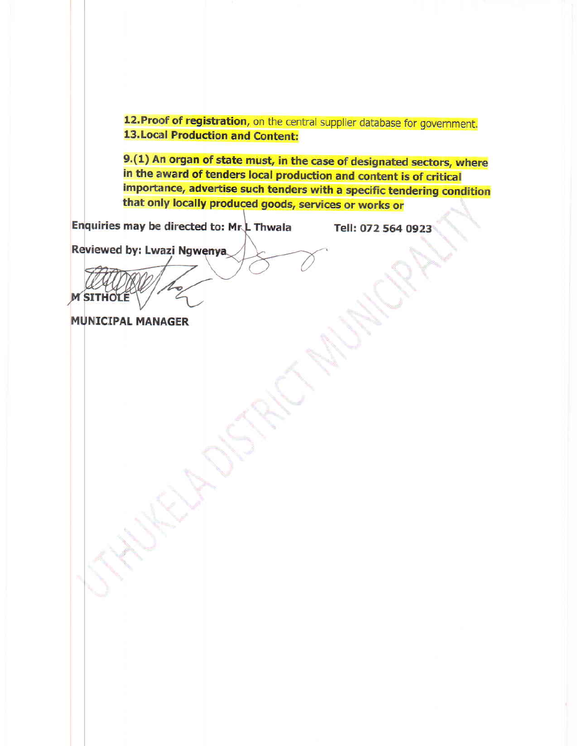12. Proof of registration, on the central supplier database for government. **13. Local Production and Content:** 

9.(1) An organ of state must, in the case of designated sectors, where in the award of tenders local production and content is of critical importance, advertise such tenders with a specific tendering condition that only locally produced goods, services or works or

Enquiries may be directed to: Mr.L Thwala

Tell: 072 564 0923

Reviewed by: Lwazi Ngwenya

**M SITHOLE** 

**MUNICIPAL MANAGER**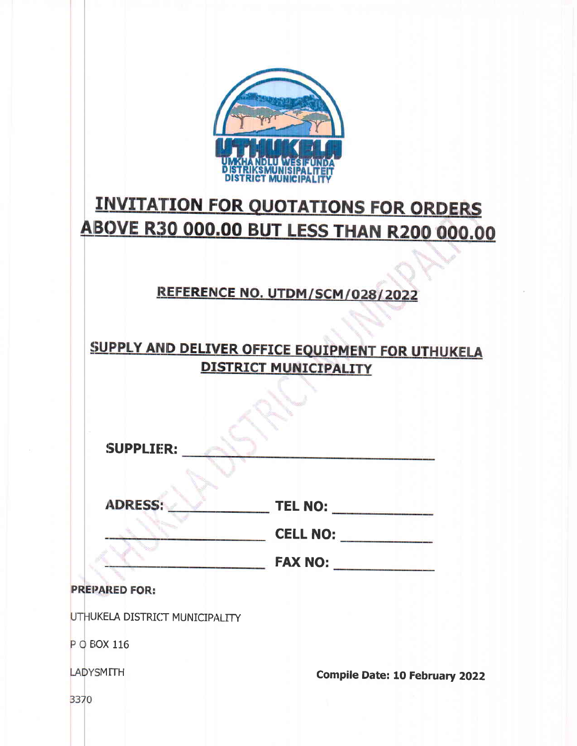

# **INVITATION FOR QUOTATIONS FOR ORDERS ABOVE R30 000.00 BUT LESS THAN R200 000.00**

#### REFERENCE NO. UTDM/SCM/028/2022

# SUPPLY AND DELIVER OFFICE EQUIPMENT FOR UTHUKELA **DISTRICT MUNICIPALITY**

| <b>SUPPLIER:</b>               |                                       |
|--------------------------------|---------------------------------------|
| <b>ADRESS:</b>                 | <b>TEL NO:</b><br><b>CELL NO:</b>     |
| <b>PREPARED FOR:</b>           | FAX NO:                               |
| UTHUKELA DISTRICT MUNICIPALITY |                                       |
| P O EOX 116                    |                                       |
| <b>LADYSMITH</b>               | <b>Compile Date: 10 February 2022</b> |

3370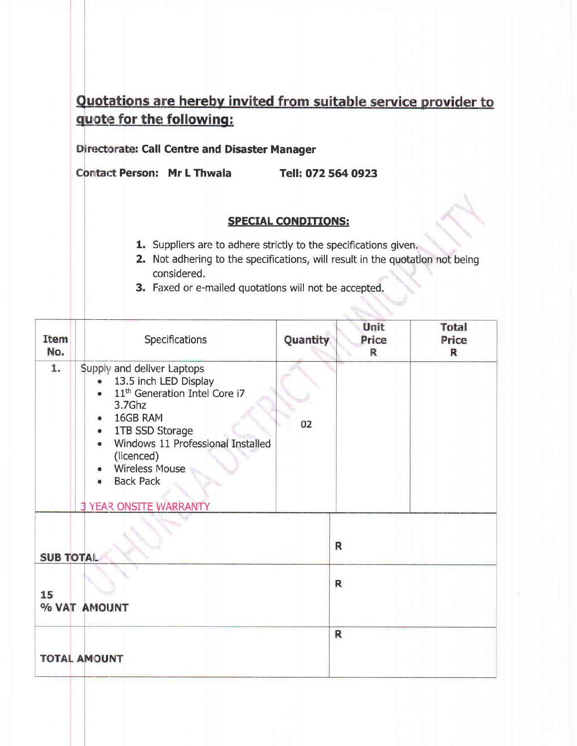## Quotations are hereby invited from suitable service provider to quote for the following:

#### Directorate: Call Centre and Disaster Manager

Contact Person: Mr L Thwala Tell: 072 564 0923

#### SPECIAL CONDITIONS:

- 1. Suppliers are to adhere strictly to the specifications given,
- **2.** Not adhering to the specifications, will result in the quotation not being considered.
- 3. Faxed or e-mailed quotations will not be accepted.

| <b>Item</b><br>No. | Specifications                                                                                                                                                                                                                                                             | Quantity | Unit<br>Price<br>R | <b>Total</b><br>Price<br>$\mathbb{R}$ |
|--------------------|----------------------------------------------------------------------------------------------------------------------------------------------------------------------------------------------------------------------------------------------------------------------------|----------|--------------------|---------------------------------------|
| 1.                 | Supply and deliver Laptops<br>13.5 inch LED Display<br>11 <sup>th</sup> Generation Intel Core i7<br>3.7Ghz<br>16GB RAM<br>1TB SSD Storage<br>Windows 11 Professional Installed<br>(licenced)<br><b>Wireless Mouse</b><br><b>Back Pack</b><br><b>3 YEAR ONSITE WARRANTY</b> | 02       |                    |                                       |
| <b>SUB TOTAL</b>   |                                                                                                                                                                                                                                                                            |          | R                  |                                       |
| 15                 | % VAT AMOUNT                                                                                                                                                                                                                                                               |          | $\mathsf{R}$       |                                       |
|                    | <b>TOTAL AMOUNT</b>                                                                                                                                                                                                                                                        |          | $\mathbf R$        |                                       |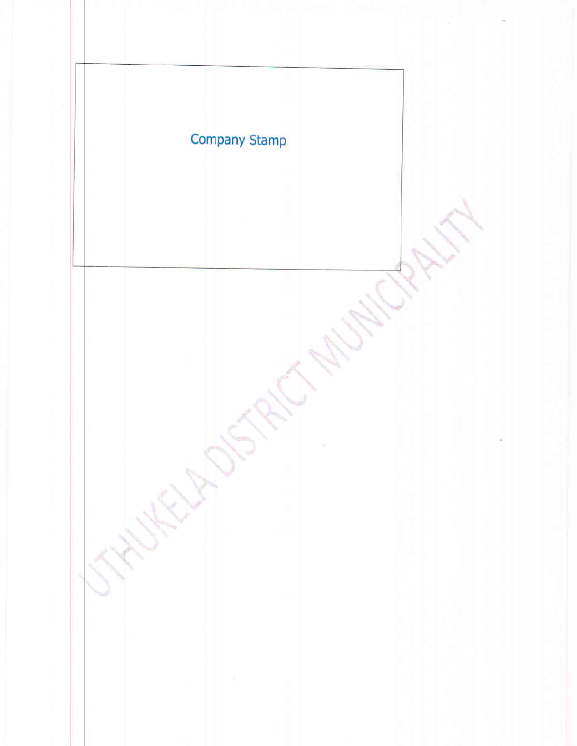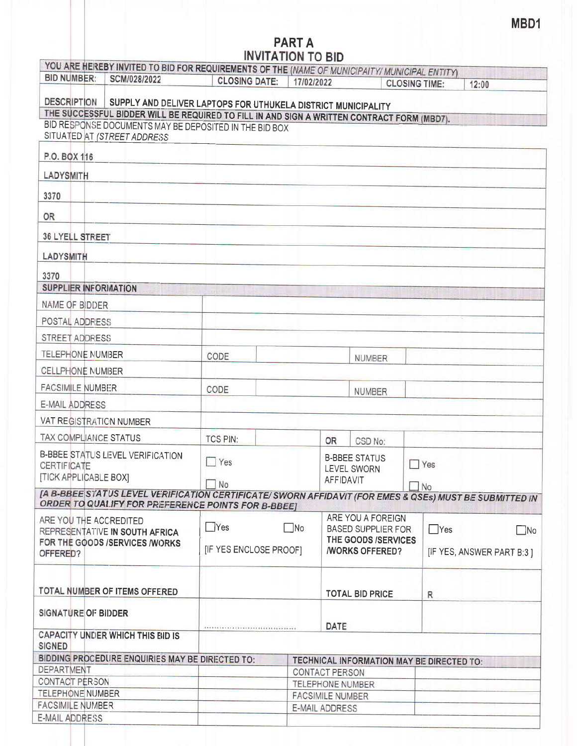# PART A<br>INVITATION TO BID

|                                                                                            | YOU ARE HEREBY INVITED TO BID FOR REQUIREMENTS OF THE (NAME OF MUNICIPAITY/ MUNICIPAL ENTITY)                                                               |                            |            |                                                                       |                                           |                      |                                                                                                         |
|--------------------------------------------------------------------------------------------|-------------------------------------------------------------------------------------------------------------------------------------------------------------|----------------------------|------------|-----------------------------------------------------------------------|-------------------------------------------|----------------------|---------------------------------------------------------------------------------------------------------|
| <b>BID NUMBER:</b>                                                                         | SCM/028/2022                                                                                                                                                | <b>CLOSING DATE:</b>       | 17/02/2022 |                                                                       |                                           | <b>CLOSING TIME:</b> | 12:00                                                                                                   |
| <b>DESCRIPTION</b>                                                                         |                                                                                                                                                             |                            |            |                                                                       |                                           |                      |                                                                                                         |
|                                                                                            | SUPPLY AND DELIVER LAPTOPS FOR UTHUKELA DISTRICT MUNICIPALITY<br>THE SUCCESSFUL BIDDER WILL BE REQUIRED TO FILL IN AND SIGN A WRITTEN CONTRACT FORM (MBD7). |                            |            |                                                                       |                                           |                      |                                                                                                         |
|                                                                                            | BID RESPONSE DOCUMENTS MAY BE DEPOSITED IN THE BID BOX                                                                                                      |                            |            |                                                                       |                                           |                      |                                                                                                         |
| SITUATED AT (STREET ADDRESS                                                                |                                                                                                                                                             |                            |            |                                                                       |                                           |                      |                                                                                                         |
| P.O. BOX 116                                                                               |                                                                                                                                                             |                            |            |                                                                       |                                           |                      |                                                                                                         |
| LADYSMITH                                                                                  |                                                                                                                                                             |                            |            |                                                                       |                                           |                      |                                                                                                         |
| 3370                                                                                       |                                                                                                                                                             |                            |            |                                                                       |                                           |                      |                                                                                                         |
| OR                                                                                         |                                                                                                                                                             |                            |            |                                                                       |                                           |                      |                                                                                                         |
| <b>36 LYELL STREET</b>                                                                     |                                                                                                                                                             |                            |            |                                                                       |                                           |                      |                                                                                                         |
| LADYSMITH                                                                                  |                                                                                                                                                             |                            |            |                                                                       |                                           |                      |                                                                                                         |
| 3370                                                                                       |                                                                                                                                                             |                            |            |                                                                       |                                           |                      |                                                                                                         |
| <b>SUPPLIER INFORMATION</b>                                                                |                                                                                                                                                             |                            |            |                                                                       |                                           |                      |                                                                                                         |
| NAME OF BIDDER                                                                             |                                                                                                                                                             |                            |            |                                                                       |                                           |                      |                                                                                                         |
| POSTAL ADDRESS                                                                             |                                                                                                                                                             |                            |            |                                                                       |                                           |                      |                                                                                                         |
| STREET ADDRESS                                                                             |                                                                                                                                                             |                            |            |                                                                       |                                           |                      |                                                                                                         |
| <b>TELEPHONE NUMBER</b>                                                                    |                                                                                                                                                             | CODE                       |            |                                                                       | NUMBER                                    |                      |                                                                                                         |
| <b>CELLPHONE NUMBER</b>                                                                    |                                                                                                                                                             |                            |            |                                                                       |                                           |                      |                                                                                                         |
| <b>FACSIMILE NUMBER</b>                                                                    |                                                                                                                                                             | CODE                       |            |                                                                       | <b>NUMBER</b>                             |                      |                                                                                                         |
| E-MAIL ADDRESS                                                                             |                                                                                                                                                             |                            |            |                                                                       |                                           |                      |                                                                                                         |
| VAT REGISTRATION NUMBER                                                                    |                                                                                                                                                             |                            |            |                                                                       |                                           |                      |                                                                                                         |
| TAX COMPLIANCE STATUS                                                                      |                                                                                                                                                             | TCS PIN:                   |            | <b>OR</b>                                                             | CSD No:                                   |                      |                                                                                                         |
| B-BBEE STATUS LEVEL VERIFICATION<br><b>CERTIFICATE</b><br>[TICK APPLICABLE BOX]            |                                                                                                                                                             | Yes                        |            | <b>AFFIDAVIT</b>                                                      | <b>B-BBEE STATUS</b><br>LEVEL SWORN       | $\Box$ Yes           |                                                                                                         |
|                                                                                            |                                                                                                                                                             | $\Box$ No                  |            |                                                                       |                                           | $\Box$ No            | [A B-BBEE STATUS LEVEL VERIFICATION CERTIFICATE/ SWORN AFFIDAVIT (FOR EMES & QSEs) MUST BE SUBMITTED IN |
|                                                                                            | ORDER TO QUALIFY FOR PREFERENCE POINTS FOR B-BBEEJ                                                                                                          |                            |            |                                                                       |                                           |                      |                                                                                                         |
| ARE YOU THE ACCREDITED<br>REPRESENTATIVE IN SOUTH AFRICA<br>FOR THE GOODS /SERVICES /WORKS |                                                                                                                                                             | $\Box$ Yes<br>$\square$ No |            | ARE YOU A FOREIGN<br><b>BASED SUPPLIER FOR</b><br>THE GOODS /SERVICES |                                           | $\Box$ Yes           | $\Box$ No                                                                                               |
| OFFERED?                                                                                   |                                                                                                                                                             | [IF YES ENCLOSE PROOF]     |            |                                                                       | <b><i>NORKS OFFERED?</i></b>              |                      | [IF YES, ANSWER PART B:3 ]                                                                              |
|                                                                                            |                                                                                                                                                             |                            |            |                                                                       |                                           |                      |                                                                                                         |
| TOTAL NUMBER OF ITEMS OFFERED                                                              |                                                                                                                                                             |                            |            |                                                                       | <b>TOTAL BID PRICE</b>                    | R                    |                                                                                                         |
| SIGNATURE OF BIDDER                                                                        |                                                                                                                                                             |                            |            | DATE                                                                  |                                           |                      |                                                                                                         |
| CAPACITY UNDER WHICH THIS BID IS<br><b>SIGNED</b>                                          |                                                                                                                                                             |                            |            |                                                                       |                                           |                      |                                                                                                         |
|                                                                                            | BIDDING PROCEDURE ENQUIRIES MAY BE DIRECTED TO:                                                                                                             |                            |            |                                                                       | TECHNICAL INFORMATION MAY BE DIRECTED TO: |                      |                                                                                                         |
| <b>DEPARTMENT</b>                                                                          |                                                                                                                                                             |                            |            | CONTACT PERSON                                                        |                                           |                      |                                                                                                         |
| CONTACT PERSON                                                                             |                                                                                                                                                             |                            |            | <b>TELEPHONE NUMBER</b>                                               |                                           |                      |                                                                                                         |
| TELEPHONE NUMBER                                                                           |                                                                                                                                                             |                            |            | <b>FACSIMILE NUMBER</b>                                               |                                           |                      |                                                                                                         |
| <b>FACSIMILE NUMBER</b>                                                                    |                                                                                                                                                             |                            |            | E-MAIL ADDRESS                                                        |                                           |                      |                                                                                                         |
| E-MAIL ADDRESS                                                                             |                                                                                                                                                             |                            |            |                                                                       |                                           |                      |                                                                                                         |